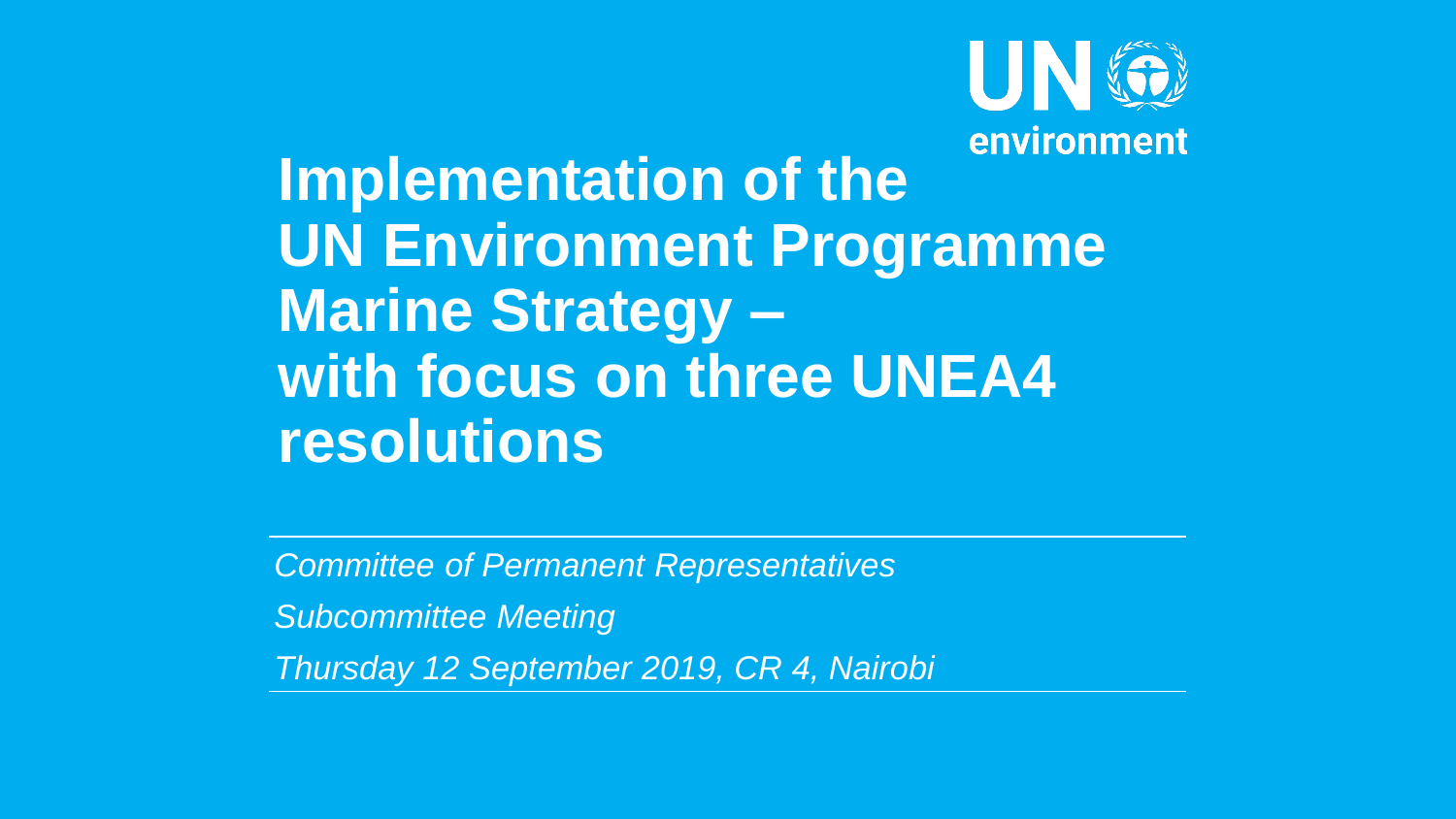

**Implementation of the UN Environment Programme Marine Strategy – with focus on three UNEA4 resolutions**

*Committee of Permanent Representatives Subcommittee Meeting Thursday 12 September 2019, CR 4, Nairobi*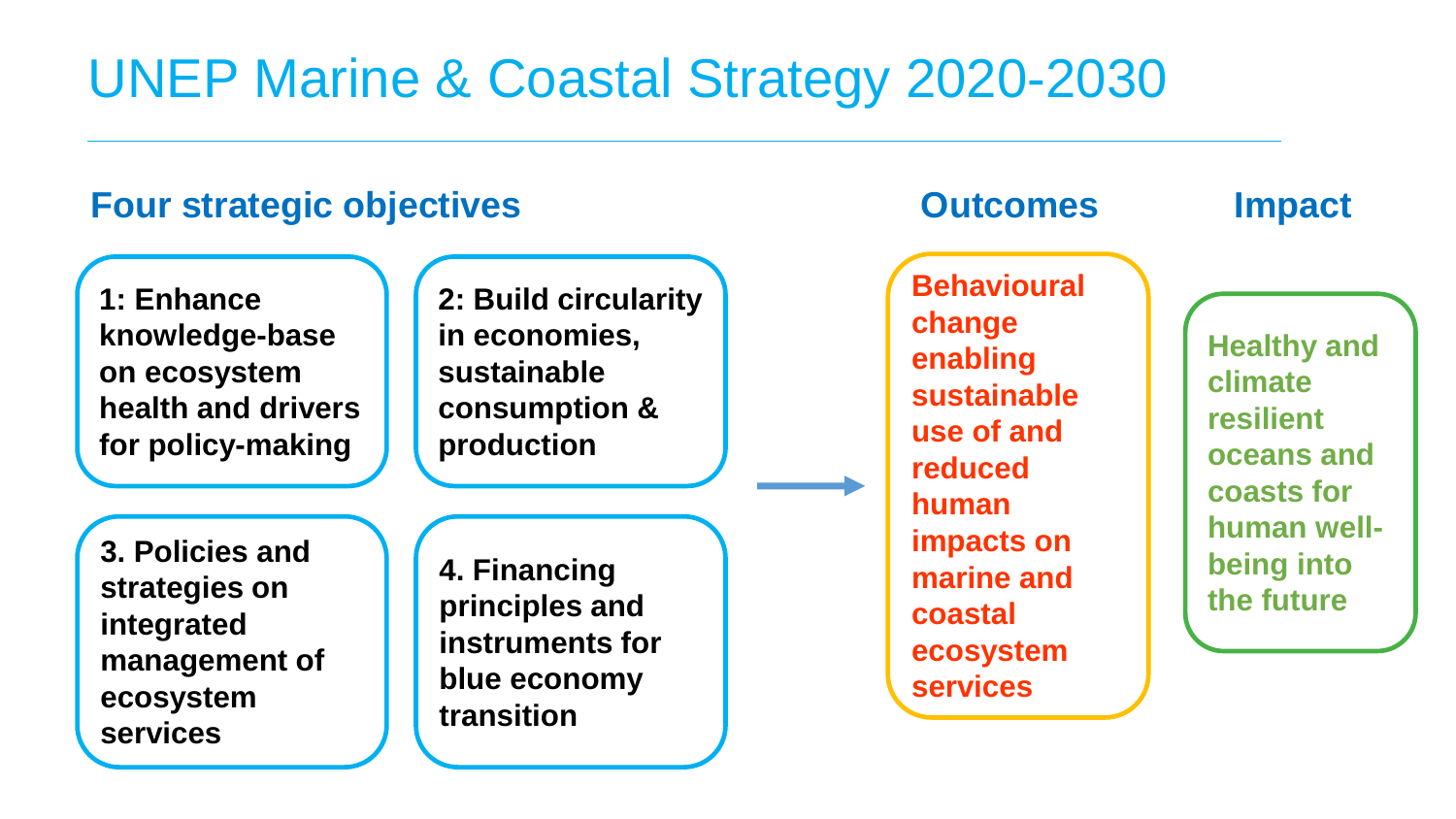# UNEP Marine & Coastal Strategy 2020-2030

### **Four strategic objectives Dutcomes Impact**

**1: Enhance knowledge-base on ecosystem health and drivers for policy-making**

**2: Build circularity in economies, sustainable consumption & production**

**3. Policies and strategies on integrated management of ecosystem services**

**4. Financing principles and instruments for blue economy transition**

**Behavioural change enabling sustainable use of and reduced human impacts on marine and coastal ecosystem services**

**Healthy and climate resilient oceans and coasts for human wellbeing into the future**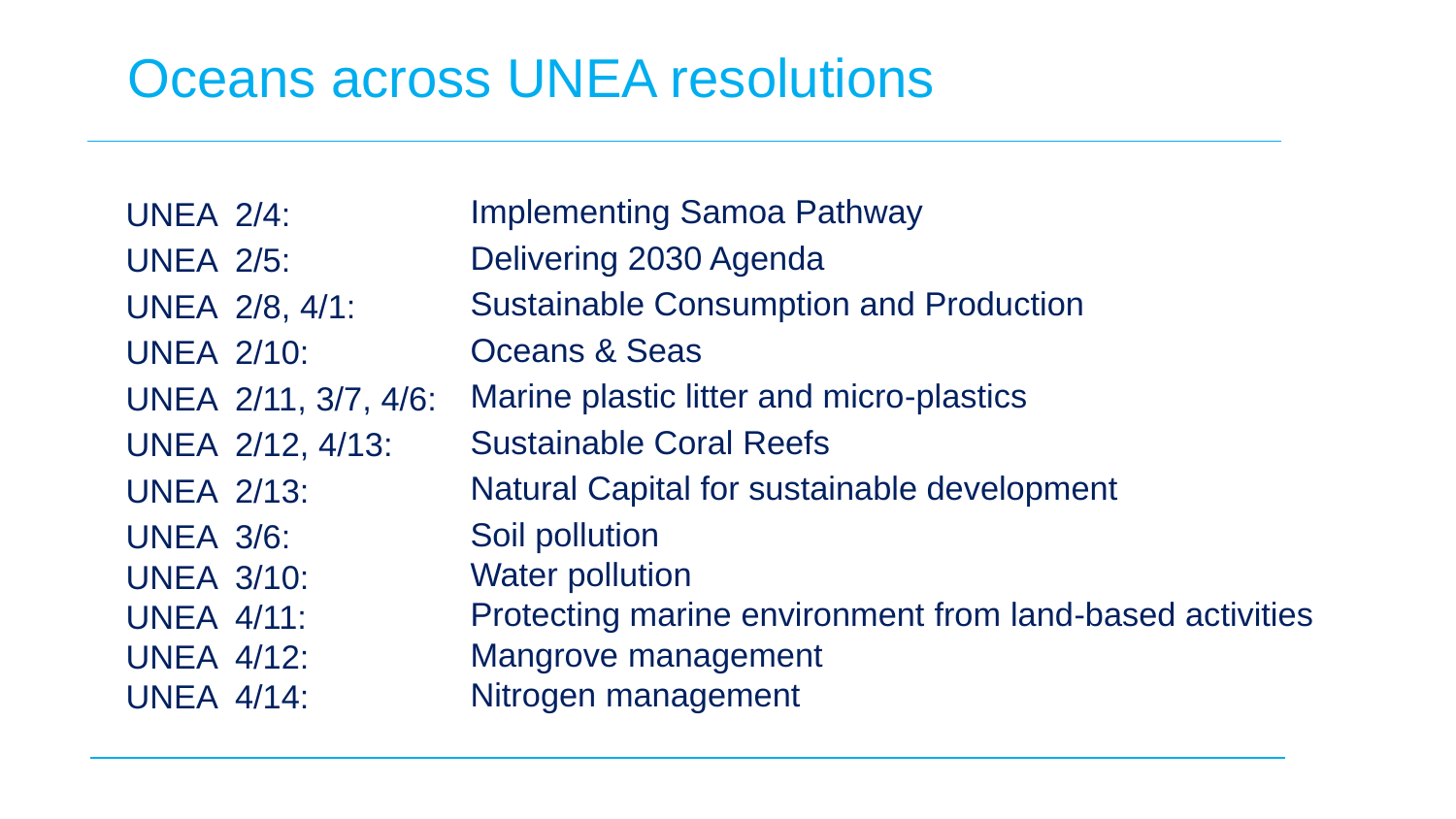# Oceans across UNEA resolutions

UNEA 2/4: UNEA 2/5: UNEA 2/8, 4/1: UNEA 2/10: UNEA 2/11, 3/7, 4/6: UNEA 2/12, 4/13: UNEA 2/13: UNEA 3/6: UNEA 3/10: UNEA 4/11: UNEA 4/12: UNEA 4/14: Implementing Samoa Pathway Delivering 2030 Agenda Sustainable Consumption and Production Oceans & Seas Marine plastic litter and micro-plastics Sustainable Coral Reefs Natural Capital for sustainable development Soil pollution Water pollution Protecting marine environment from land-based activities Mangrove management Nitrogen management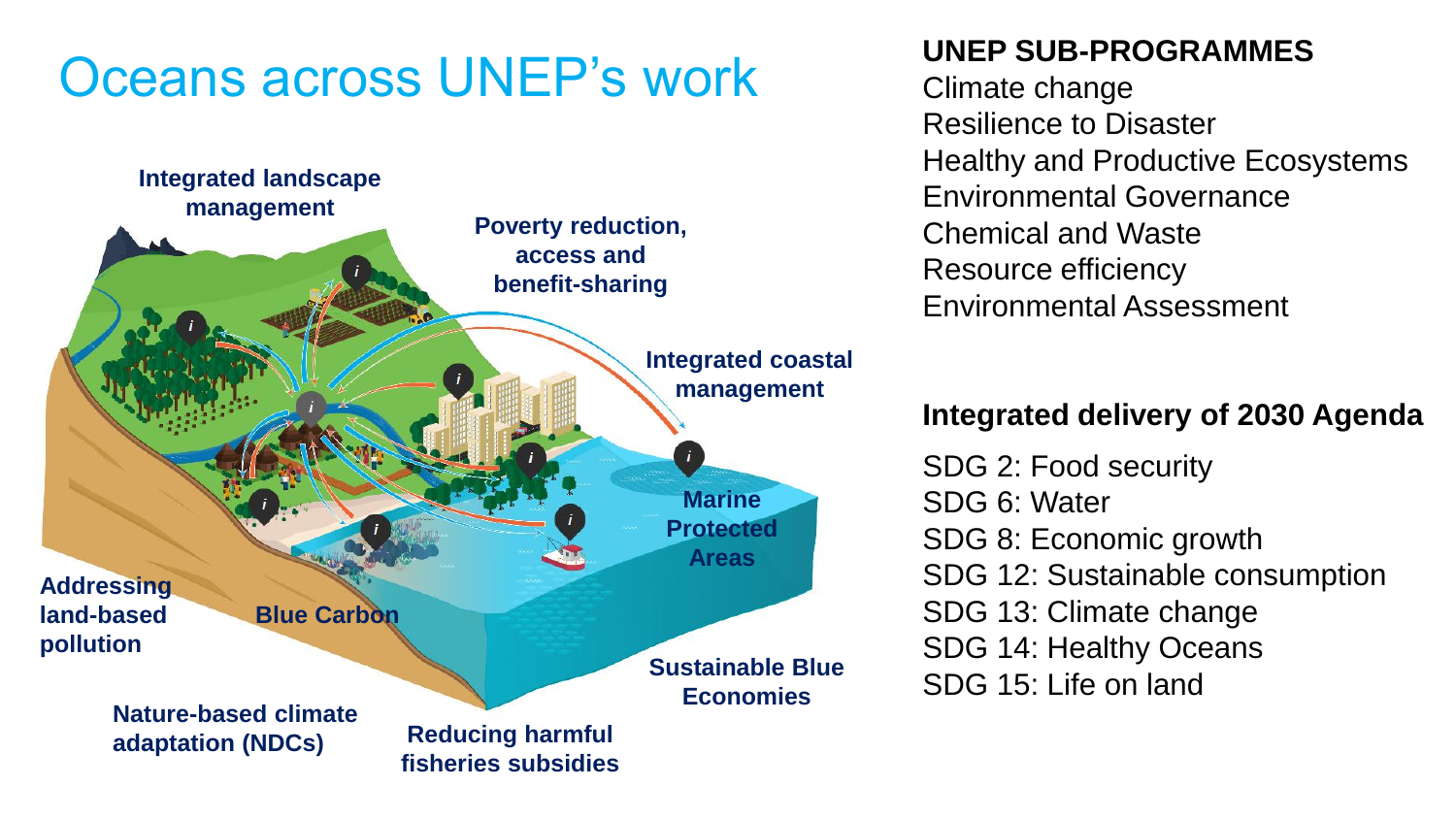# Oceans across UNEP's work



#### **UNEP SUB-PROGRAMMES**

Climate change Resilience to Disaster Healthy and Productive Ecosystems Environmental Governance Chemical and Waste Resource efficiency Environmental Assessment

#### **Integrated delivery of 2030 Agenda**

SDG 2: Food security SDG 6: Water SDG 8: Economic growth SDG 12: Sustainable consumption SDG 13: Climate change SDG 14: Healthy Oceans SDG 15: Life on land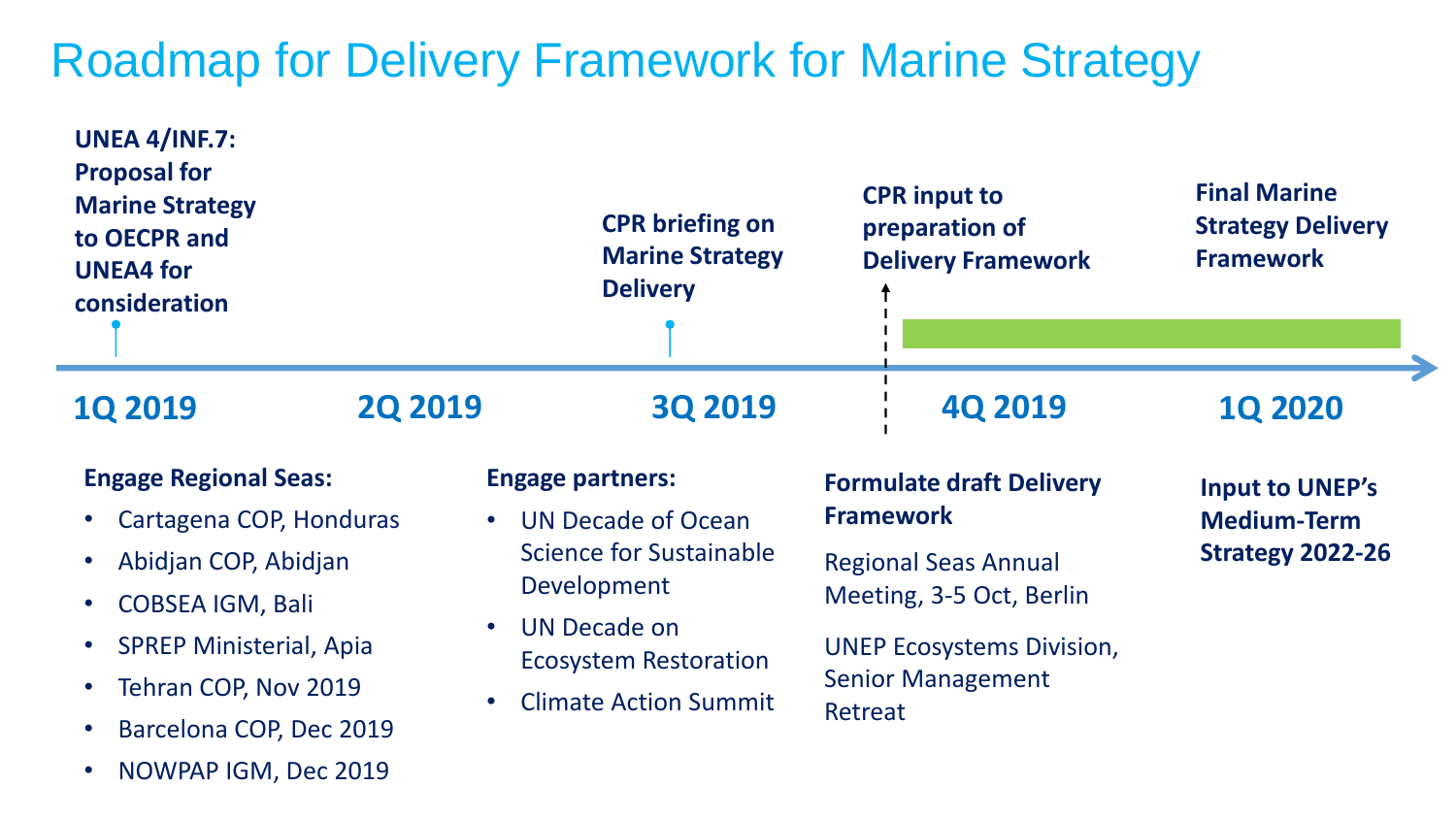## Roadmap for Delivery Framework for Marine Strategy

| <b>UNEA 4/INF.7:</b><br><b>Proposal for</b><br><b>Marine Strategy</b><br>to OECPR and<br><b>UNEA4 for</b><br>consideration |                | <b>CPR</b> briefing on<br><b>Marine Strategy</b><br><b>Delivery</b>                                                             | <b>CPR</b> input to<br>preparation of<br><b>Delivery Framework</b> | <b>Final Marine</b><br><b>Strategy Delivery</b><br><b>Framework</b>     |
|----------------------------------------------------------------------------------------------------------------------------|----------------|---------------------------------------------------------------------------------------------------------------------------------|--------------------------------------------------------------------|-------------------------------------------------------------------------|
| <b>1Q 2019</b>                                                                                                             | <b>2Q 2019</b> | <b>3Q 2019</b>                                                                                                                  | <b>4Q 2019</b>                                                     | <b>1Q 2020</b>                                                          |
| <b>Engage Regional Seas:</b><br>Cartagena COP, Honduras                                                                    |                | <b>Engage partners:</b><br><b>UN Decade of Ocean</b><br>$\bullet$<br><b>Science for Sustainable</b><br>Development<br>$\bullet$ | <b>Formulate draft Delivery</b>                                    | <b>Input to UNEP's</b><br><b>Medium-Term</b><br><b>Strategy 2022-26</b> |
|                                                                                                                            |                |                                                                                                                                 | <b>Framework</b>                                                   |                                                                         |
| Abidjan COP, Abidjan                                                                                                       |                |                                                                                                                                 | <b>Regional Seas Annual</b>                                        |                                                                         |
| <b>COBSEA IGM, Bali</b>                                                                                                    |                |                                                                                                                                 | Meeting, 3-5 Oct, Berlin                                           |                                                                         |
| <b>SPREP Ministerial, Apia</b>                                                                                             |                | <b>UN Decade on</b><br><b>Ecosystem Restoration</b>                                                                             | <b>UNEP Ecosystems Division,</b>                                   |                                                                         |
| Tehran COP, Nov 2019                                                                                                       |                | <b>Climate Action Summit</b><br>$\bullet$                                                                                       | <b>Senior Management</b>                                           |                                                                         |
| Barcelona COP, Dec 2019                                                                                                    |                |                                                                                                                                 | Retreat                                                            |                                                                         |
| NOWPAP IGM, Dec 2019                                                                                                       |                |                                                                                                                                 |                                                                    |                                                                         |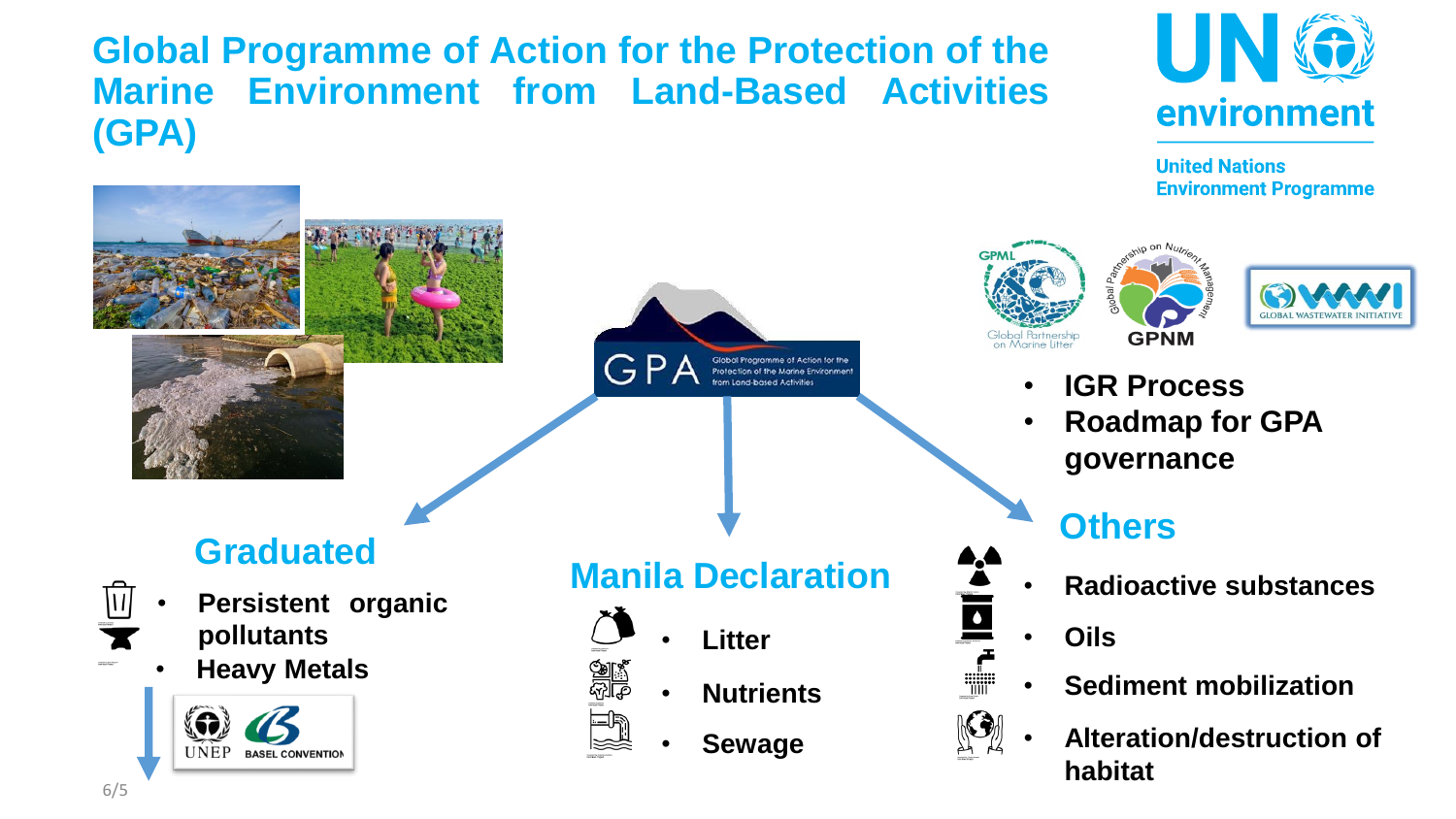**Global Programme of Action for the Protection of the Marine Environment from Land-Based Activities (GPA)**



**United Nations Environment Programme** 

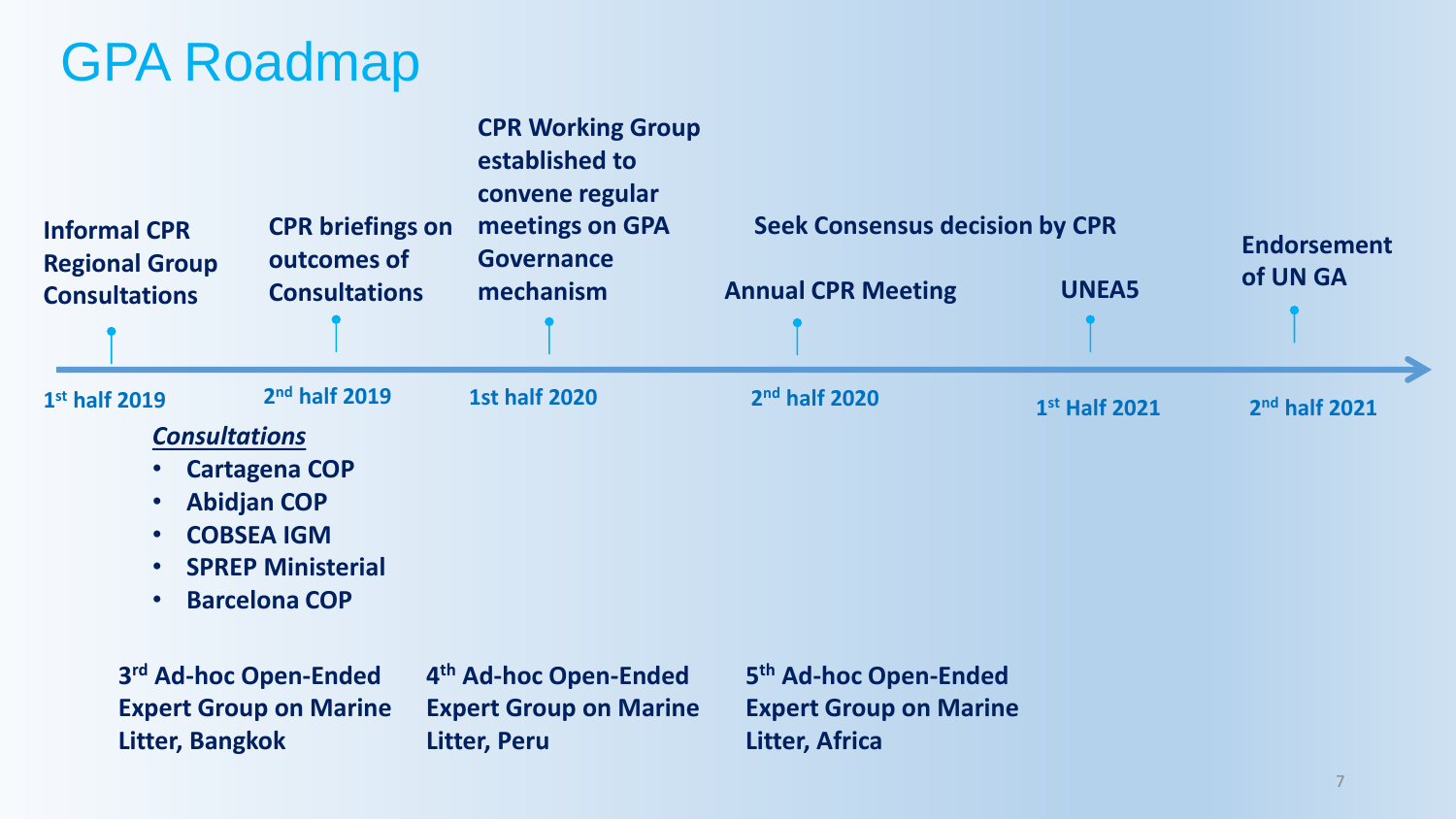# GPA Roadmap

| <b>Informal CPR</b><br><b>Regional Group</b><br><b>Consultations</b>                                   | <b>CPR</b> briefings on<br>outcomes of<br><b>Consultations</b>                                                                                   | <b>CPR Working Group</b><br>established to<br>convene regular<br>meetings on GPA<br><b>Governance</b><br>mechanism | <b>Seek Consensus decision by CPR</b><br><b>Annual CPR Meeting</b>       | <b>UNEA5</b>    | <b>Endorsement</b><br>of UN GA |
|--------------------------------------------------------------------------------------------------------|--------------------------------------------------------------------------------------------------------------------------------------------------|--------------------------------------------------------------------------------------------------------------------|--------------------------------------------------------------------------|-----------------|--------------------------------|
|                                                                                                        |                                                                                                                                                  |                                                                                                                    |                                                                          |                 |                                |
| 1st half 2019<br><b>Consultations</b><br>$\bullet$<br>$\bullet$<br>$\bullet$<br>$\bullet$<br>$\bullet$ | 2 <sup>nd</sup> half 2019<br><b>Cartagena COP</b><br><b>Abidjan COP</b><br><b>COBSEA IGM</b><br><b>SPREP Ministerial</b><br><b>Barcelona COP</b> | <b>1st half 2020</b>                                                                                               | 2nd half 2020                                                            | $1st$ Half 2021 | $2nd$ half 2021                |
| Litter, Bangkok                                                                                        | 3rd Ad-hoc Open-Ended<br><b>Expert Group on Marine</b>                                                                                           | 4th Ad-hoc Open-Ended<br><b>Expert Group on Marine</b><br><b>Litter, Peru</b>                                      | 5th Ad-hoc Open-Ended<br><b>Expert Group on Marine</b><br>Litter, Africa |                 |                                |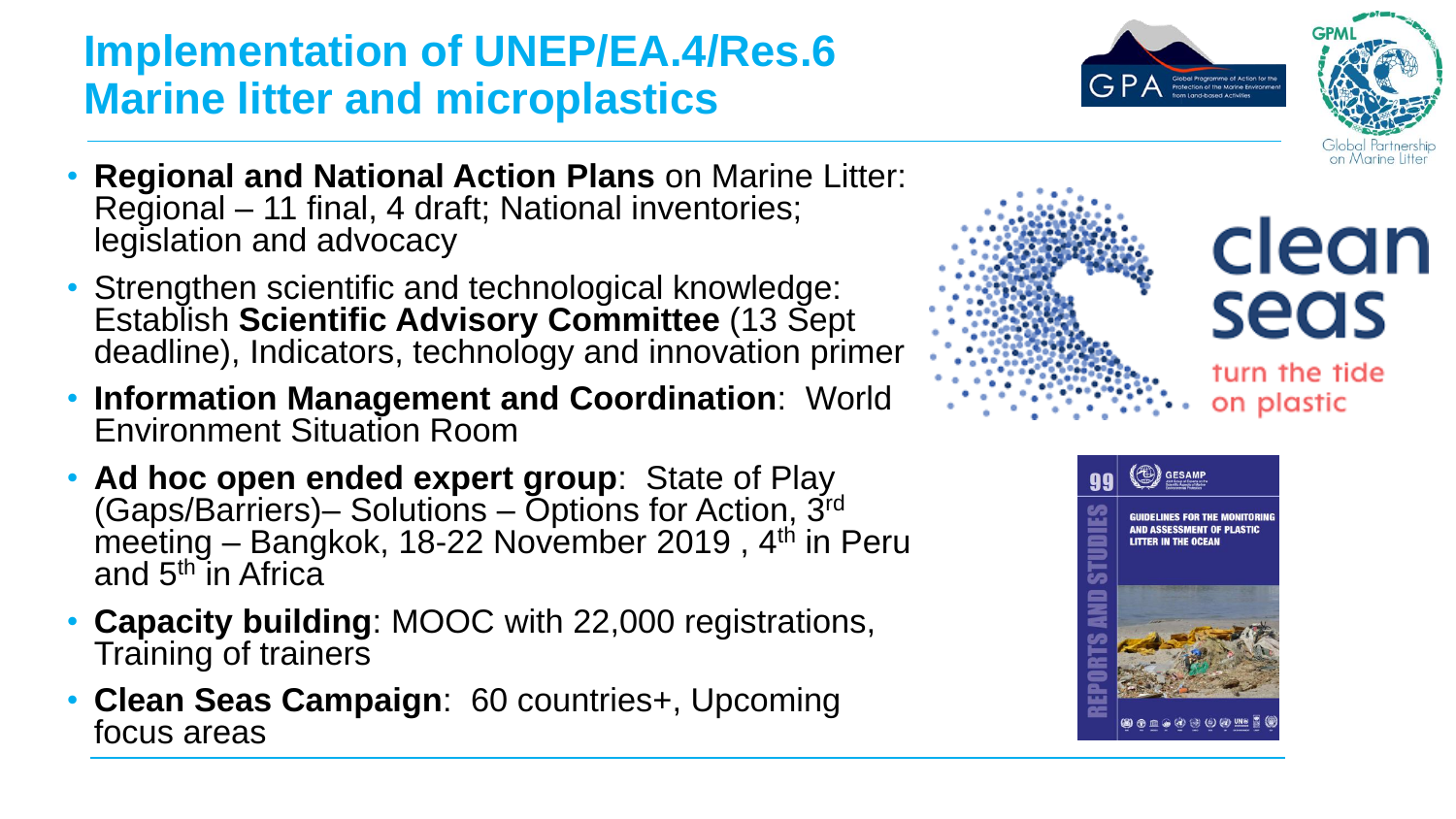## **Implementation of UNEP/EA.4/Res.6 Marine litter and microplastics**





- **Regional and National Action Plans** on Marine Litter: Regional – 11 final, 4 draft; National inventories; legislation and advocacy
- Strengthen scientific and technological knowledge: Establish **Scientific Advisory Committee** (13 Sept deadline), Indicators, technology and innovation primer
- **Information Management and Coordination**: World Environment Situation Room
- **Ad hoc open ended expert group**: State of Play (Gaps/Barriers)– Solutions – Options for Action, 3rd meeting – Bangkok, 18-22 November 2019, 4<sup>th</sup> in Peru and 5<sup>th</sup> in Africa
- **Capacity building**: MOOC with 22,000 registrations, Training of trainers
- **Clean Seas Campaign**: 60 countries+, Upcoming focus areas



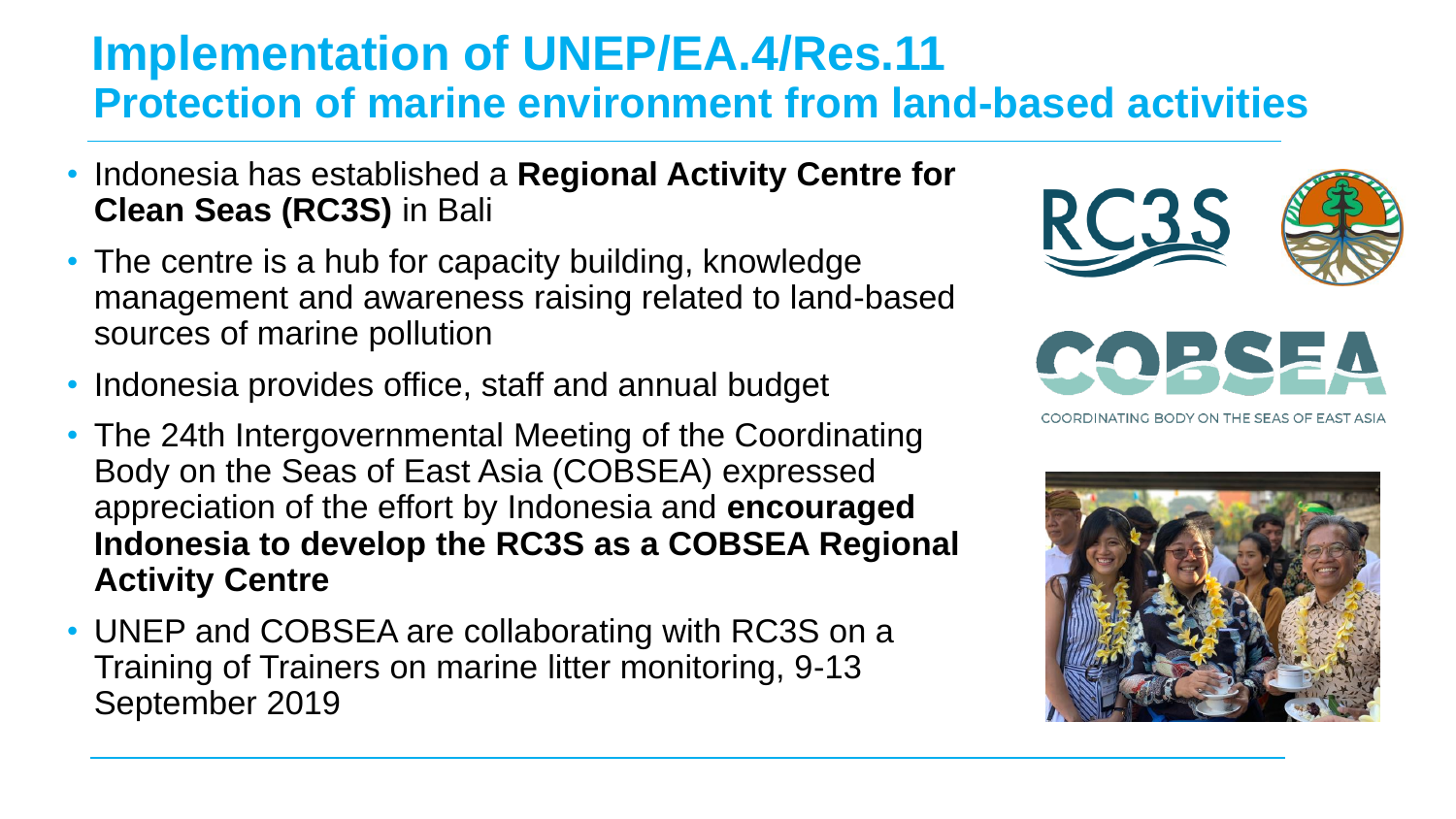### **Implementation of UNEP/EA.4/Res.11 Protection of marine environment from land-based activities**

- Indonesia has established a **Regional Activity Centre for Clean Seas (RC3S)** in Bali
- The centre is a hub for capacity building, knowledge management and awareness raising related to land-based sources of marine pollution
- Indonesia provides office, staff and annual budget
- The 24th Intergovernmental Meeting of the Coordinating Body on the Seas of East Asia (COBSEA) expressed appreciation of the effort by Indonesia and **encouraged Indonesia to develop the RC3S as a COBSEA Regional Activity Centre**
- UNEP and COBSEA are collaborating with RC3S on a Training of Trainers on marine litter monitoring, 9-13 September 2019



NATING BODY ON THE SEAS OF EAST ASIA

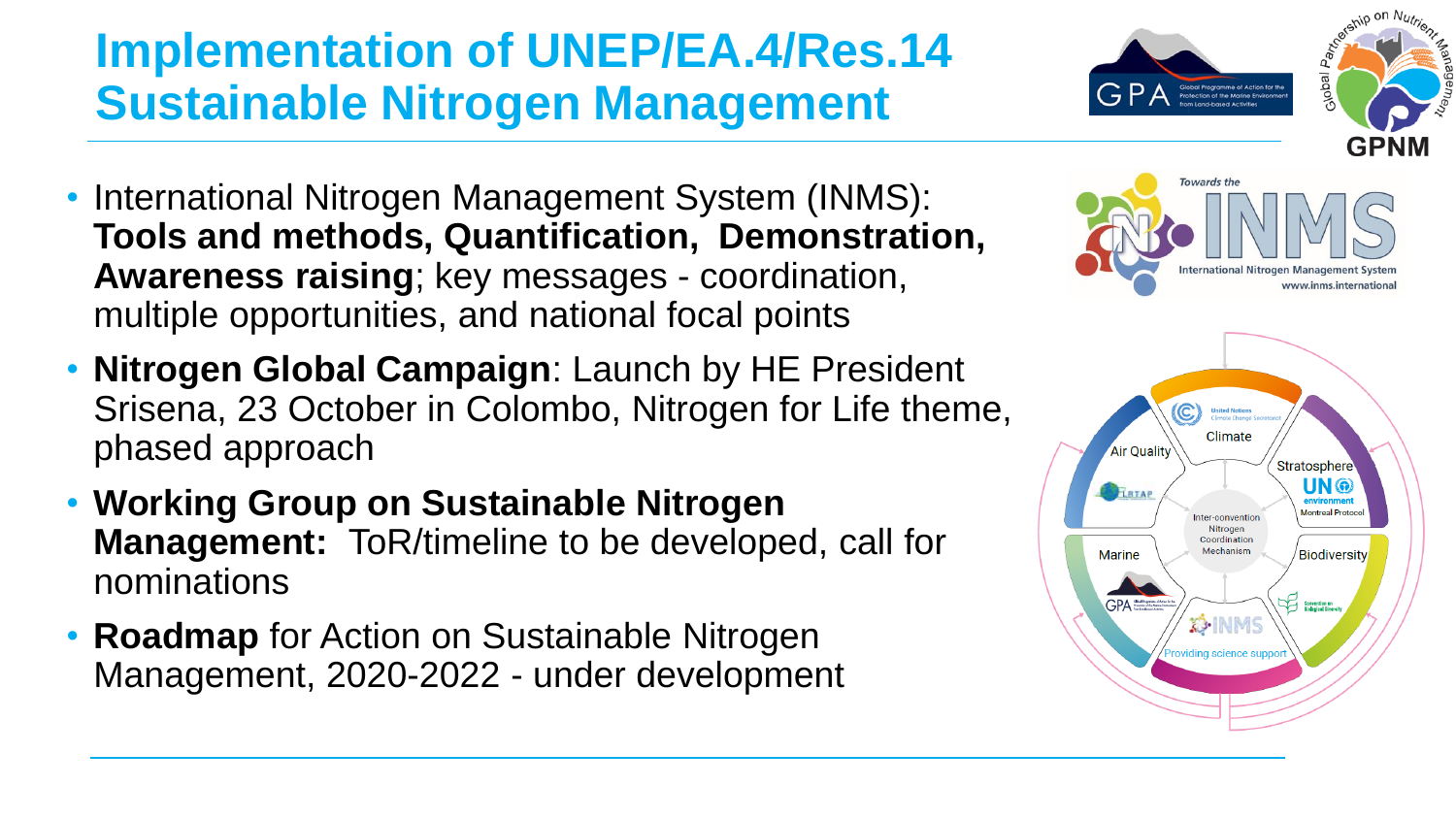## **Implementation of UNEP/EA.4/Res.14 Sustainable Nitrogen Management**

- International Nitrogen Management System (INMS): **Tools and methods, Quantification, Demonstration, Awareness raising**; key messages - coordination, multiple opportunities, and national focal points
- **Nitrogen Global Campaign**: Launch by HE President Srisena, 23 October in Colombo, Nitrogen for Life theme, phased approach
- **Working Group on Sustainable Nitrogen Management:** ToR/timeline to be developed, call for nominations
- **Roadmap** for Action on Sustainable Nitrogen Management, 2020-2022 - under development



Global Programme of Action for the<br>Protection of the Marine Environment

ledov